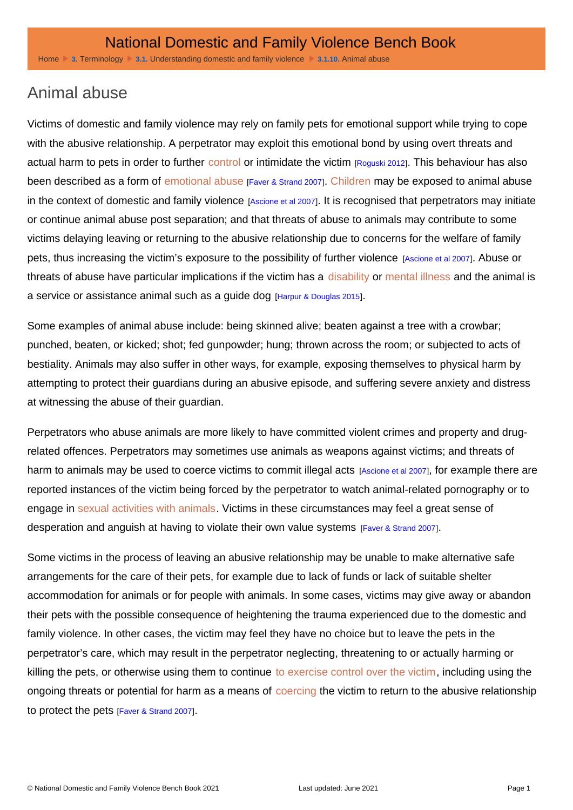## Animal abuse

Victims of domestic and family violence may rely on family pets for emotional support while trying to cope with the abusive relationship. A perpetrator may exploit this emotional bond by using overt threats and actual harm to pets in order to further [control](http://dfvbenchbook.aija.org.au/terminology/coercive-control) or intimidate the victim [Roguski 2012]. This behaviour has also been described as a form of [emotional abuse](http://dfvbenchbook.aija.org.au/understanding-domestic-and-family-violence/emotional-and-psychological-abuse) [Faver & Strand 2007]. [Children](http://dfvbenchbook.aija.org.au/understanding-domestic-and-family-violence/exposing-children) may be exposed to animal abuse in the context of domestic and family violence [Ascione et al 2007]. It is recognised that perpetrators may initiate or continue animal abuse post separation; and that threats of abuse to animals may contribute to some victims delaying leaving or returning to the abusive relationship due to concerns for the welfare of family pets, thus increasing the victim's exposure to the possibility of further violence [Ascione et al 2007]. Abuse or threats of abuse have particular implications if the victim has a [disability](http://dfvbenchbook.aija.org.au/vulnerable-groups/people-with-disability-and-impairment) or [mental illness](http://dfvbenchbook.aija.org.au/vulnerable-groups/people-with-mental-illness) and the animal is a service or assistance animal such as a guide dog [Harpur & Douglas 2015].

Some examples of animal abuse include: being skinned alive; beaten against a tree with a crowbar; punched, beaten, or kicked; shot; fed gunpowder; hung; thrown across the room; or subjected to acts of bestiality. Animals may also suffer in other ways, for example, exposing themselves to physical harm by attempting to protect their guardians during an abusive episode, and suffering severe anxiety and distress at witnessing the abuse of their guardian.

Perpetrators who abuse animals are more likely to have committed violent crimes and property and drugrelated offences. Perpetrators may sometimes use animals as weapons against victims; and threats of harm to animals may be used to coerce victims to commit illegal acts [Ascione et al 2007], for example there are reported instances of the victim being forced by the perpetrator to watch animal-related pornography or to engage in [sexual activities with animals.](http://dfvbenchbook.aija.org.au/understanding-domestic-and-family-violence/sexual-and-reproductive-abuse) Victims in these circumstances may feel a great sense of desperation and anguish at having to violate their own value systems [Faver & Strand 2007].

Some victims in the process of leaving an abusive relationship may be unable to make alternative safe arrangements for the care of their pets, for example due to lack of funds or lack of suitable shelter accommodation for animals or for people with animals. In some cases, victims may give away or abandon their pets with the possible consequence of heightening the trauma experienced due to the domestic and family violence. In other cases, the victim may feel they have no choice but to leave the pets in the perpetrator's care, which may result in the perpetrator neglecting, threatening to or actually harming or killing the pets, or otherwise using them to continue [to exercise control over the victim,](http://dfvbenchbook.aija.org.au/terminology/coercive-control) including using the ongoing threats or potential for harm as a means of [coercing](http://dfvbenchbook.aija.org.au/terminology/coercive-control) the victim to return to the abusive relationship to protect the pets [Faver & Strand 2007].